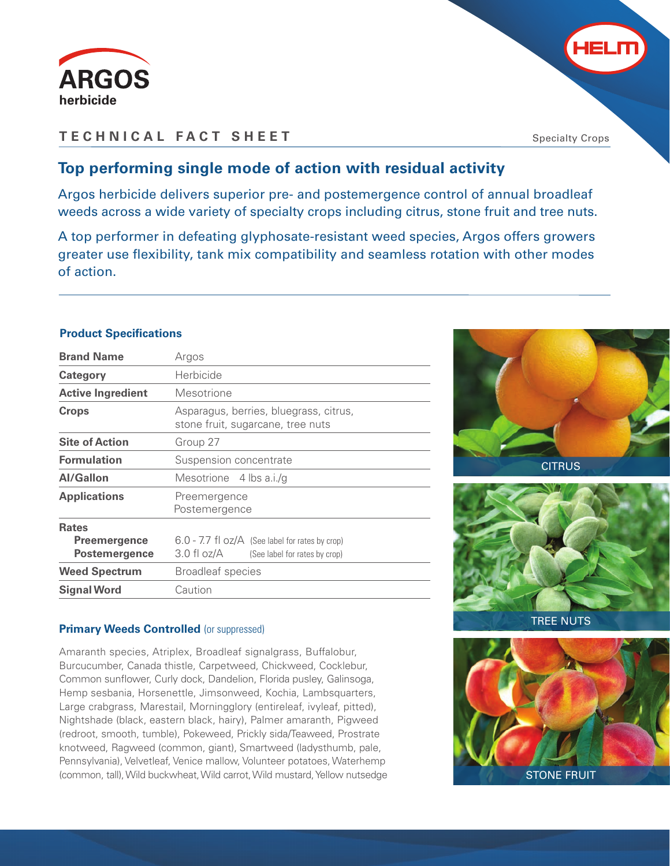



## **TECHNICAL FACT SHEET**

Specialty Crops

## **Top performing single mode of action with residual activity**

Argos herbicide delivers superior pre- and postemergence control of annual broadleaf weeds across a wide variety of specialty crops including citrus, stone fruit and tree nuts.

A top performer in defeating glyphosate-resistant weed species, Argos offers growers greater use flexibility, tank mix compatibility and seamless rotation with other modes of action.

## **Product Specifications**

| <b>Brand Name</b>                                           | Argos                                                                                        |  |  |  |  |  |
|-------------------------------------------------------------|----------------------------------------------------------------------------------------------|--|--|--|--|--|
| Category                                                    | Herbicide                                                                                    |  |  |  |  |  |
| <b>Active Ingredient</b>                                    | Mesotrione                                                                                   |  |  |  |  |  |
| <b>Crops</b>                                                | Asparagus, berries, bluegrass, citrus,<br>stone fruit, sugarcane, tree nuts                  |  |  |  |  |  |
| <b>Site of Action</b>                                       | Group 27                                                                                     |  |  |  |  |  |
| <b>Formulation</b>                                          | Suspension concentrate                                                                       |  |  |  |  |  |
| <b>Al/Gallon</b>                                            | Mesotrione 4 lbs a.i./q                                                                      |  |  |  |  |  |
| <b>Applications</b>                                         | Preemergence<br>Postemergence                                                                |  |  |  |  |  |
| <b>Rates</b><br><b>Preemergence</b><br><b>Postemergence</b> | 6.0 - 7.7 fl oz/A (See label for rates by crop)<br>3.0 fl oz/A (See label for rates by crop) |  |  |  |  |  |
| <b>Weed Spectrum</b>                                        | <b>Broadleaf species</b>                                                                     |  |  |  |  |  |
| <b>Signal Word</b>                                          | Caution                                                                                      |  |  |  |  |  |

## **Primary Weeds Controlled (or suppressed)**

Amaranth species, Atriplex, Broadleaf signalgrass, Buffalobur, Burcucumber, Canada thistle, Carpetweed, Chickweed, Cocklebur, Common sunflower, Curly dock, Dandelion, Florida pusley, Galinsoga, Hemp sesbania, Horsenettle, Jimsonweed, Kochia, Lambsquarters, Large crabgrass, Marestail, Morningglory (entireleaf, ivyleaf, pitted), Nightshade (black, eastern black, hairy), Palmer amaranth, Pigweed (redroot, smooth, tumble), Pokeweed, Prickly sida/Teaweed, Prostrate knotweed, Ragweed (common, giant), Smartweed (ladysthumb, pale, Pennsylvania), Velvetleaf, Venice mallow, Volunteer potatoes, Waterhemp (common, tall), Wild buckwheat, Wild carrot, Wild mustard, Yellow nutsedge